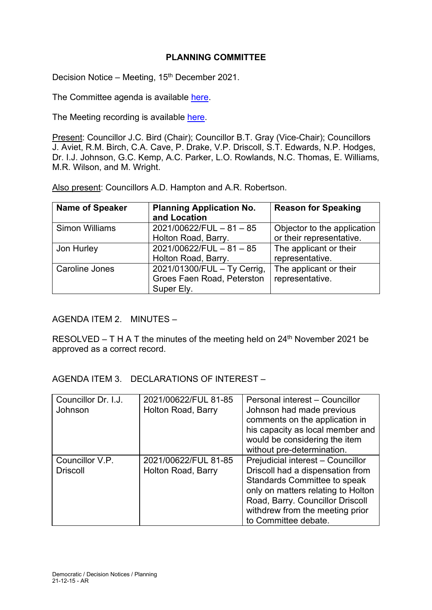# **PLANNING COMMITTEE**

Decision Notice – Meeting, 15<sup>th</sup> December 2021.

The Committee agenda is available [here.](https://www.valeofglamorgan.gov.uk/en/our_council/Council-Structure/minutes,_agendas_and_reports/agendas/planning/2021/21-12-15.aspx)

The Meeting recording is available [here.](https://youtu.be/aXhs_4LT1M4)

Present: Councillor J.C. Bird (Chair); Councillor B.T. Gray (Vice-Chair); Councillors J. Aviet, R.M. Birch, C.A. Cave, P. Drake, V.P. Driscoll, S.T. Edwards, N.P. Hodges, Dr. I.J. Johnson, G.C. Kemp, A.C. Parker, L.O. Rowlands, N.C. Thomas, E. Williams, M.R. Wilson, and M. Wright.

Also present: Councillors A.D. Hampton and A.R. Robertson.

| <b>Name of Speaker</b> | <b>Planning Application No.</b><br>and Location                         | <b>Reason for Speaking</b>                              |
|------------------------|-------------------------------------------------------------------------|---------------------------------------------------------|
| <b>Simon Williams</b>  | 2021/00622/FUL - 81 - 85<br>Holton Road, Barry.                         | Objector to the application<br>or their representative. |
| Jon Hurley             | $2021/00622/FUL - 81 - 85$<br>Holton Road, Barry.                       | The applicant or their<br>representative.               |
| <b>Caroline Jones</b>  | 2021/01300/FUL - Ty Cerrig,<br>Groes Faen Road, Peterston<br>Super Ely. | The applicant or their<br>representative.               |

### AGENDA ITEM 2. MINUTES –

RESOLVED – T H A T the minutes of the meeting held on  $24<sup>th</sup>$  November 2021 be approved as a correct record.

AGENDA ITEM 3. DECLARATIONS OF INTEREST –

| Councillor Dr. I.J.<br>Johnson     | 2021/00622/FUL 81-85<br>Holton Road, Barry | Personal interest - Councillor<br>Johnson had made previous<br>comments on the application in<br>his capacity as local member and<br>would be considering the item<br>without pre-determination.                                                  |
|------------------------------------|--------------------------------------------|---------------------------------------------------------------------------------------------------------------------------------------------------------------------------------------------------------------------------------------------------|
| Councillor V.P.<br><b>Driscoll</b> | 2021/00622/FUL 81-85<br>Holton Road, Barry | Prejudicial interest - Councillor<br>Driscoll had a dispensation from<br><b>Standards Committee to speak</b><br>only on matters relating to Holton<br>Road, Barry. Councillor Driscoll<br>withdrew from the meeting prior<br>to Committee debate. |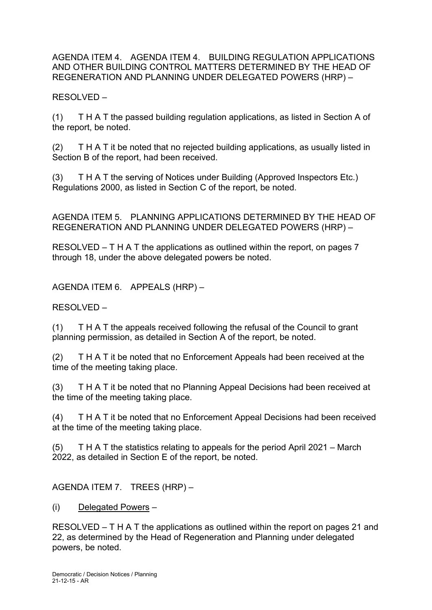AGENDA ITEM 4. AGENDA ITEM 4. BUILDING REGULATION APPLICATIONS AND OTHER BUILDING CONTROL MATTERS DETERMINED BY THE HEAD OF REGENERATION AND PLANNING UNDER DELEGATED POWERS (HRP) –

RESOLVED –

(1) T H A T the passed building regulation applications, as listed in Section A of the report, be noted.

(2) T H A T it be noted that no rejected building applications, as usually listed in Section B of the report, had been received.

(3) T H A T the serving of Notices under Building (Approved Inspectors Etc.) Regulations 2000, as listed in Section C of the report, be noted.

AGENDA ITEM 5. PLANNING APPLICATIONS DETERMINED BY THE HEAD OF REGENERATION AND PLANNING UNDER DELEGATED POWERS (HRP) –

RESOLVED – T H A T the applications as outlined within the report, on pages 7 through 18, under the above delegated powers be noted.

AGENDA ITEM 6. APPEALS (HRP) –

RESOLVED –

(1) T H A T the appeals received following the refusal of the Council to grant planning permission, as detailed in Section A of the report, be noted.

(2) T H A T it be noted that no Enforcement Appeals had been received at the time of the meeting taking place.

(3) T H A T it be noted that no Planning Appeal Decisions had been received at the time of the meeting taking place.

(4) T H A T it be noted that no Enforcement Appeal Decisions had been received at the time of the meeting taking place.

(5) T H A T the statistics relating to appeals for the period April 2021 – March 2022, as detailed in Section E of the report, be noted.

AGENDA ITEM 7. TREES (HRP) –

(i) Delegated Powers –

RESOLVED – T H A T the applications as outlined within the report on pages 21 and 22, as determined by the Head of Regeneration and Planning under delegated powers, be noted.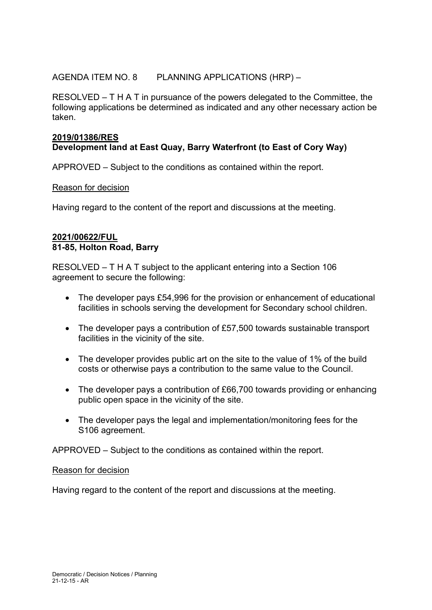## AGENDA ITEM NO. 8 PLANNING APPLICATIONS (HRP) –

RESOLVED – T H A T in pursuance of the powers delegated to the Committee, the following applications be determined as indicated and any other necessary action be taken.

# **2019/01386/RES Development land at East Quay, Barry Waterfront (to East of Cory Way)**

APPROVED – Subject to the conditions as contained within the report.

### Reason for decision

Having regard to the content of the report and discussions at the meeting.

### **2021/00622/FUL 81-85, Holton Road, Barry**

RESOLVED – T H A T subject to the applicant entering into a Section 106 agreement to secure the following:

- The developer pays £54,996 for the provision or enhancement of educational facilities in schools serving the development for Secondary school children.
- The developer pays a contribution of £57,500 towards sustainable transport facilities in the vicinity of the site.
- The developer provides public art on the site to the value of 1% of the build costs or otherwise pays a contribution to the same value to the Council.
- The developer pays a contribution of £66,700 towards providing or enhancing public open space in the vicinity of the site.
- The developer pays the legal and implementation/monitoring fees for the S106 agreement.

APPROVED – Subject to the conditions as contained within the report.

#### Reason for decision

Having regard to the content of the report and discussions at the meeting.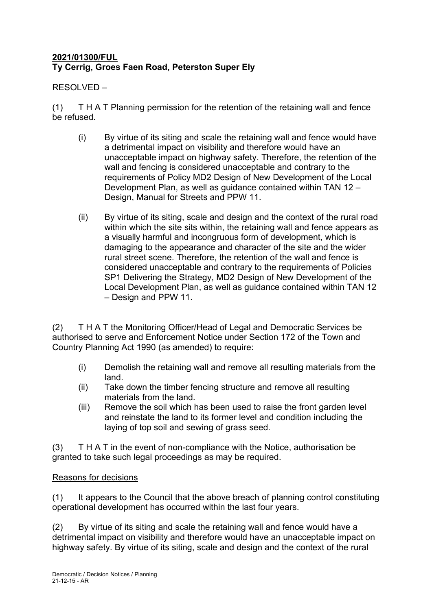# **2021/01300/FUL Ty Cerrig, Groes Faen Road, Peterston Super Ely**

RESOLVED –

(1) T H A T Planning permission for the retention of the retaining wall and fence be refused.

- (i) By virtue of its siting and scale the retaining wall and fence would have a detrimental impact on visibility and therefore would have an unacceptable impact on highway safety. Therefore, the retention of the wall and fencing is considered unacceptable and contrary to the requirements of Policy MD2 Design of New Development of the Local Development Plan, as well as guidance contained within TAN 12 – Design, Manual for Streets and PPW 11.
- (ii) By virtue of its siting, scale and design and the context of the rural road within which the site sits within, the retaining wall and fence appears as a visually harmful and incongruous form of development, which is damaging to the appearance and character of the site and the wider rural street scene. Therefore, the retention of the wall and fence is considered unacceptable and contrary to the requirements of Policies SP1 Delivering the Strategy, MD2 Design of New Development of the Local Development Plan, as well as guidance contained within TAN 12 – Design and PPW 11.

(2) T H A T the Monitoring Officer/Head of Legal and Democratic Services be authorised to serve and Enforcement Notice under Section 172 of the Town and Country Planning Act 1990 (as amended) to require:

- (i) Demolish the retaining wall and remove all resulting materials from the land.
- (ii) Take down the timber fencing structure and remove all resulting materials from the land.
- (iii) Remove the soil which has been used to raise the front garden level and reinstate the land to its former level and condition including the laying of top soil and sewing of grass seed.

(3) T H A T in the event of non-compliance with the Notice, authorisation be granted to take such legal proceedings as may be required.

# Reasons for decisions

(1) It appears to the Council that the above breach of planning control constituting operational development has occurred within the last four years.

(2) By virtue of its siting and scale the retaining wall and fence would have a detrimental impact on visibility and therefore would have an unacceptable impact on highway safety. By virtue of its siting, scale and design and the context of the rural